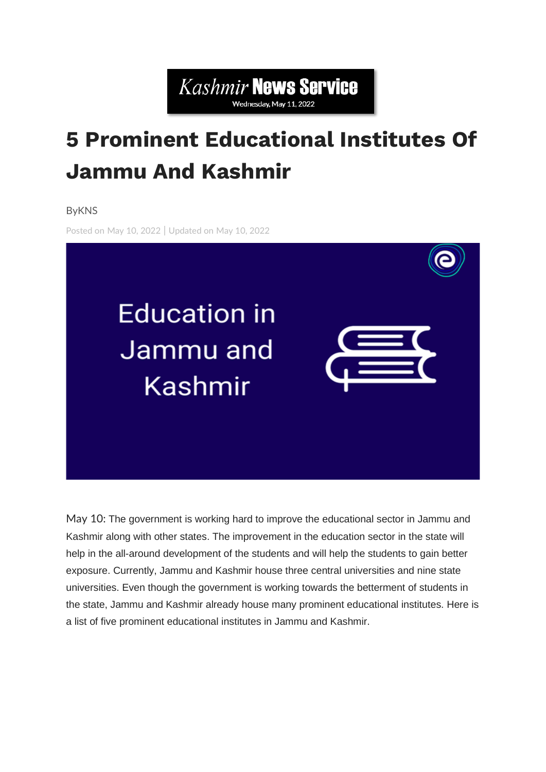# **Kashmir News Service** Wednesday, May 11, 2022

# **5 Prominent Educational Institutes Of Jammu And Kashmir**

#### ByKNS

Posted on May 10, 2022 | Updated on May 10, 2022



May 10: The government is working hard to improve the educational sector in Jammu and Kashmir along with other states. The improvement in the education sector in the state will help in the all-around development of the students and will help the students to gain better exposure. Currently, Jammu and Kashmir house three central universities and nine state universities. Even though the government is working towards the betterment of students in the state, Jammu and Kashmir already house many prominent educational institutes. Here is a list of five prominent educational institutes in Jammu and Kashmir.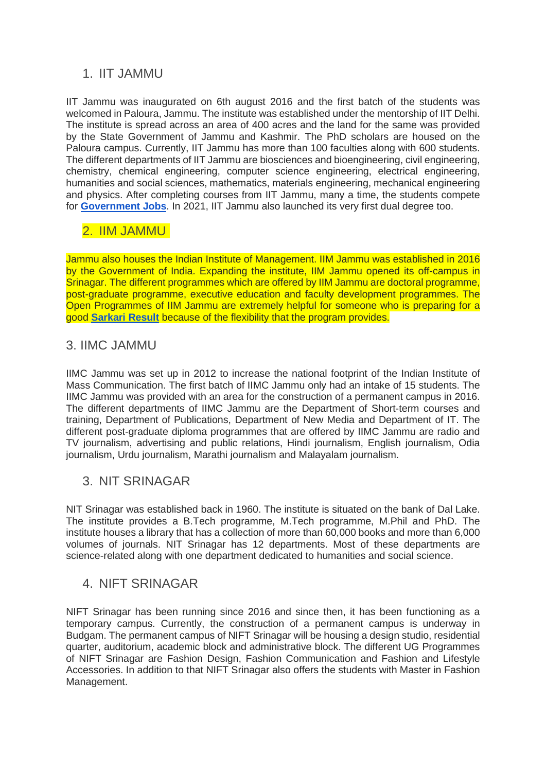## 1. IIT JAMMU

IIT Jammu was inaugurated on 6th august 2016 and the first batch of the students was welcomed in Paloura, Jammu. The institute was established under the mentorship of IIT Delhi. The institute is spread across an area of 400 acres and the land for the same was provided by the State Government of Jammu and Kashmir. The PhD scholars are housed on the Paloura campus. Currently, IIT Jammu has more than 100 faculties along with 600 students. The different departments of IIT Jammu are biosciences and bioengineering, civil engineering, chemistry, chemical engineering, computer science engineering, electrical engineering, humanities and social sciences, mathematics, materials engineering, mechanical engineering and physics. After completing courses from IIT Jammu, many a time, the students compete for **[Government](https://jobalert.ind.in/government-jobs/) Jobs**. In 2021, IIT Jammu also launched its very first dual degree too.

# 2. IIM JAMMU

Jammu also houses the Indian Institute of Management. IIM Jammu was established in 2016 by the Government of India. Expanding the institute, IIM Jammu opened its off-campus in Srinagar. The different programmes which are offered by IIM Jammu are doctoral programme, post-graduate programme, executive education and faculty development programmes. The Open Programmes of IIM Jammu are extremely helpful for someone who is preparing for a good **[Sarkari](https://jobalert.ind.in/) Result** because of the flexibility that the program provides.

### 3. IIMC JAMMU

IIMC Jammu was set up in 2012 to increase the national footprint of the Indian Institute of Mass Communication. The first batch of IIMC Jammu only had an intake of 15 students. The IIMC Jammu was provided with an area for the construction of a permanent campus in 2016. The different departments of IIMC Jammu are the Department of Short-term courses and training, Department of Publications, Department of New Media and Department of IT. The different post-graduate diploma programmes that are offered by IIMC Jammu are radio and TV journalism, advertising and public relations, Hindi journalism, English journalism, Odia journalism, Urdu journalism, Marathi journalism and Malayalam journalism.

#### 3. NIT SRINAGAR

NIT Srinagar was established back in 1960. The institute is situated on the bank of Dal Lake. The institute provides a B.Tech programme, M.Tech programme, M.Phil and PhD. The institute houses a library that has a collection of more than 60,000 books and more than 6,000 volumes of journals. NIT Srinagar has 12 departments. Most of these departments are science-related along with one department dedicated to humanities and social science.

#### 4. NIFT SRINAGAR

NIFT Srinagar has been running since 2016 and since then, it has been functioning as a temporary campus. Currently, the construction of a permanent campus is underway in Budgam. The permanent campus of NIFT Srinagar will be housing a design studio, residential quarter, auditorium, academic block and administrative block. The different UG Programmes of NIFT Srinagar are Fashion Design, Fashion Communication and Fashion and Lifestyle Accessories. In addition to that NIFT Srinagar also offers the students with Master in Fashion Management.